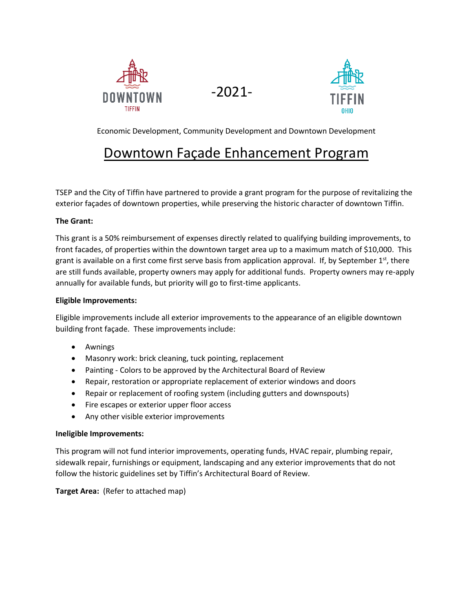





Economic Development, Community Development and Downtown Development

# Downtown Façade Enhancement Program

TSEP and the City of Tiffin have partnered to provide a grant program for the purpose of revitalizing the exterior façades of downtown properties, while preserving the historic character of downtown Tiffin.

# **The Grant:**

This grant is a 50% reimbursement of expenses directly related to qualifying building improvements, to front facades, of properties within the downtown target area up to a maximum match of \$10,000. This grant is available on a first come first serve basis from application approval. If, by September  $1<sup>st</sup>$ , there are still funds available, property owners may apply for additional funds. Property owners may re-apply annually for available funds, but priority will go to first-time applicants.

#### **Eligible Improvements:**

Eligible improvements include all exterior improvements to the appearance of an eligible downtown building front façade. These improvements include:

- Awnings
- Masonry work: brick cleaning, tuck pointing, replacement
- Painting Colors to be approved by the Architectural Board of Review
- Repair, restoration or appropriate replacement of exterior windows and doors
- Repair or replacement of roofing system (including gutters and downspouts)
- Fire escapes or exterior upper floor access
- Any other visible exterior improvements

#### **Ineligible Improvements:**

This program will not fund interior improvements, operating funds, HVAC repair, plumbing repair, sidewalk repair, furnishings or equipment, landscaping and any exterior improvements that do not follow the historic guidelines set by Tiffin's Architectural Board of Review.

**Target Area:** (Refer to attached map)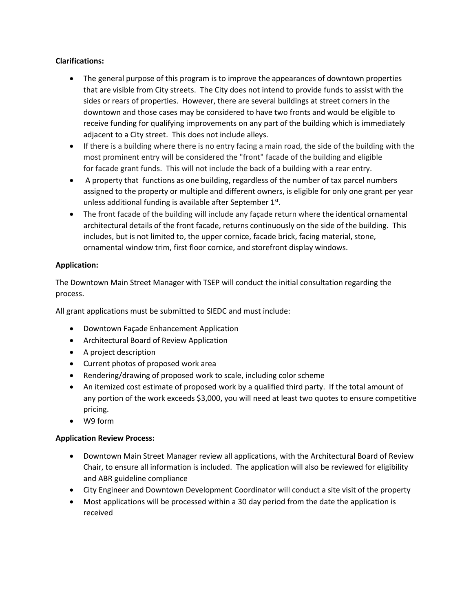# **Clarifications:**

- The general purpose of this program is to improve the appearances of downtown properties that are visible from City streets. The City does not intend to provide funds to assist with the sides or rears of properties. However, there are several buildings at street corners in the downtown and those cases may be considered to have two fronts and would be eligible to receive funding for qualifying improvements on any part of the building which is immediately adjacent to a City street. This does not include alleys.
- If there is a building where there is no entry facing a main road, the side of the building with the most prominent entry will be considered the "front" facade of the building and eligible for facade grant funds. This will not include the back of a building with a rear entry.
- A property that functions as one building, regardless of the number of tax parcel numbers assigned to the property or multiple and different owners, is eligible for only one grant per year unless additional funding is available after September 1st.
- The front facade of the building will include any façade return where the identical ornamental architectural details of the front facade, returns continuously on the side of the building. This includes, but is not limited to, the upper cornice, facade brick, facing material, stone, ornamental window trim, first floor cornice, and storefront display windows.

### **Application:**

The Downtown Main Street Manager with TSEP will conduct the initial consultation regarding the process.

All grant applications must be submitted to SIEDC and must include:

- Downtown Façade Enhancement Application
- Architectural Board of Review Application
- A project description
- Current photos of proposed work area
- Rendering/drawing of proposed work to scale, including color scheme
- An itemized cost estimate of proposed work by a qualified third party. If the total amount of any portion of the work exceeds \$3,000, you will need at least two quotes to ensure competitive pricing.
- W9 form

#### **Application Review Process:**

- Downtown Main Street Manager review all applications, with the Architectural Board of Review Chair, to ensure all information is included. The application will also be reviewed for eligibility and ABR guideline compliance
- City Engineer and Downtown Development Coordinator will conduct a site visit of the property
- Most applications will be processed within a 30 day period from the date the application is received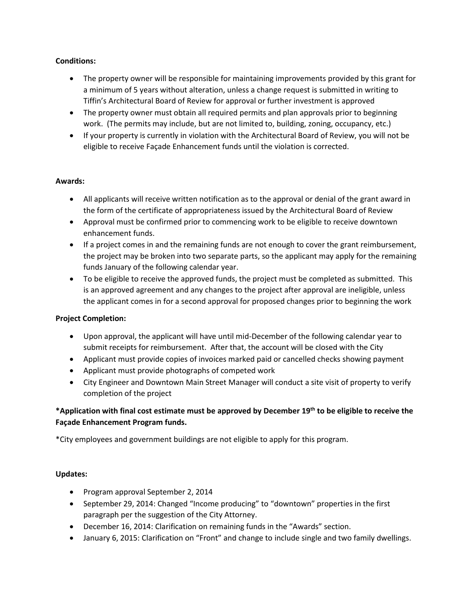### **Conditions:**

- The property owner will be responsible for maintaining improvements provided by this grant for a minimum of 5 years without alteration, unless a change request is submitted in writing to Tiffin's Architectural Board of Review for approval or further investment is approved
- The property owner must obtain all required permits and plan approvals prior to beginning work. (The permits may include, but are not limited to, building, zoning, occupancy, etc.)
- If your property is currently in violation with the Architectural Board of Review, you will not be eligible to receive Façade Enhancement funds until the violation is corrected.

#### **Awards:**

- All applicants will receive written notification as to the approval or denial of the grant award in the form of the certificate of appropriateness issued by the Architectural Board of Review
- Approval must be confirmed prior to commencing work to be eligible to receive downtown enhancement funds.
- If a project comes in and the remaining funds are not enough to cover the grant reimbursement, the project may be broken into two separate parts, so the applicant may apply for the remaining funds January of the following calendar year.
- To be eligible to receive the approved funds, the project must be completed as submitted. This is an approved agreement and any changes to the project after approval are ineligible, unless the applicant comes in for a second approval for proposed changes prior to beginning the work

#### **Project Completion:**

- Upon approval, the applicant will have until mid-December of the following calendar year to submit receipts for reimbursement. After that, the account will be closed with the City
- Applicant must provide copies of invoices marked paid or cancelled checks showing payment
- Applicant must provide photographs of competed work
- City Engineer and Downtown Main Street Manager will conduct a site visit of property to verify completion of the project

# **\*Application with final cost estimate must be approved by December 19th to be eligible to receive the Façade Enhancement Program funds.**

\*City employees and government buildings are not eligible to apply for this program.

#### **Updates:**

- Program approval September 2, 2014
- September 29, 2014: Changed "Income producing" to "downtown" properties in the first paragraph per the suggestion of the City Attorney.
- December 16, 2014: Clarification on remaining funds in the "Awards" section.
- January 6, 2015: Clarification on "Front" and change to include single and two family dwellings.